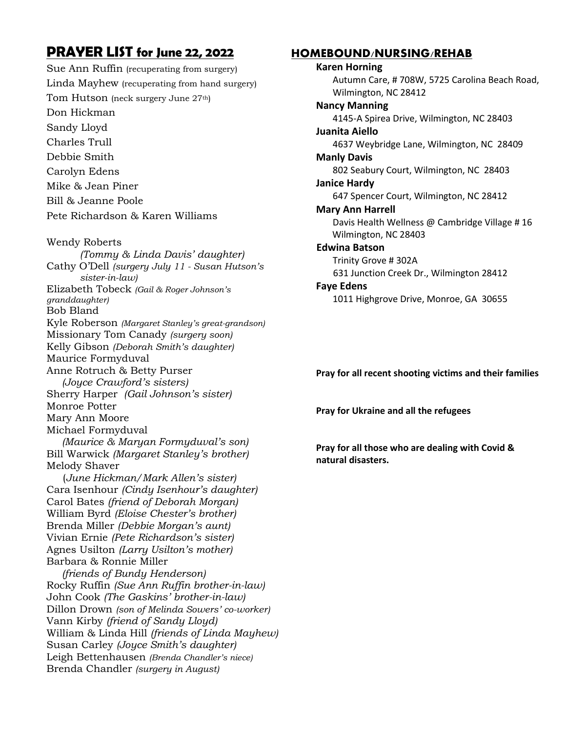## **PRAYER LIST for June 22, 2022**

Sue Ann Ruffin (recuperating from surgery) Linda Mayhew (recuperating from hand surgery) Tom Hutson (neck surgery June 27<sup>th</sup>) Don Hickman Sandy Lloyd Charles Trull Debbie Smith Carolyn Edens Mike & Jean Piner Bill & Jeanne Poole Pete Richardson & Karen Williams

Wendy Roberts *(Tommy & Linda Davis' daughter)* Cathy O'Dell *(surgery July 11 - Susan Hutson's sister-in-law)* Elizabeth Tobeck *(Gail & Roger Johnson's granddaughter)* Bob Bland Kyle Roberson *(Margaret Stanley's great-grandson)* Missionary Tom Canady *(surgery soon)* Kelly Gibson *(Deborah Smith's daughter)* Maurice Formyduval Anne Rotruch & Betty Purser  *(Joyce Crawford's sisters)* Sherry Harper *(Gail Johnson's sister)* Monroe Potter Mary Ann Moore Michael Formyduval  *(Maurice & Maryan Formyduval's son)* Bill Warwick *(Margaret Stanley's brother)* Melody Shaver (*June Hickman/Mark Allen's sister)* Cara Isenhour *(Cindy Isenhour's daughter)* Carol Bates *(friend of Deborah Morgan)* William Byrd *(Eloise Chester's brother)* Brenda Miller *(Debbie Morgan's aunt)* Vivian Ernie *(Pete Richardson's sister)* Agnes Usilton *(Larry Usilton's mother)* Barbara & Ronnie Miller  *(friends of Bundy Henderson)* Rocky Ruffin *(Sue Ann Ruffin brother-in-law)* John Cook *(The Gaskins' brother-in-law)* Dillon Drown *(son of Melinda Sowers' co-worker)* Vann Kirby *(friend of Sandy Lloyd)* William & Linda Hill *(friends of Linda Mayhew)* Susan Carley *(Joyce Smith's daughter)*

Leigh Bettenhausen *(Brenda Chandler's niece)*

Brenda Chandler *(surgery in August)*

## **HOMEBOUND/NURSING/REHAB**

**Karen Horning** Autumn Care, # 708W, 5725 Carolina Beach Road, Wilmington, NC 28412 **Nancy Manning** 4145-A Spirea Drive, Wilmington, NC 28403 **Juanita Aiello** 4637 Weybridge Lane, Wilmington, NC 28409 **Manly Davis** 802 Seabury Court, Wilmington, NC 28403 **Janice Hardy** 647 Spencer Court, Wilmington, NC 28412 **Mary Ann Harrell** Davis Health Wellness @ Cambridge Village # 16 Wilmington, NC 28403 **Edwina Batson** Trinity Grove # 302A 631 Junction Creek Dr., Wilmington 28412 **Faye Edens** 1011 Highgrove Drive, Monroe, GA 30655

**Pray for all recent shooting victims and their families**

**Pray for Ukraine and all the refugees**

**Pray for all those who are dealing with Covid & natural disasters.**